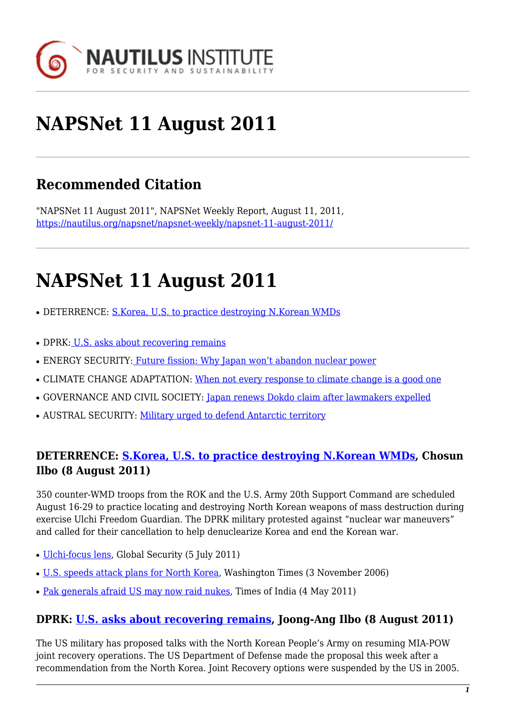

# **NAPSNet 11 August 2011**

# **Recommended Citation**

"NAPSNet 11 August 2011", NAPSNet Weekly Report, August 11, 2011, <https://nautilus.org/napsnet/napsnet-weekly/napsnet-11-august-2011/>

# **NAPSNet 11 August 2011**

- DETERRENCE: [S.Korea, U.S. to practice destroying N.Korean WMDs](#page-0-0)
- DPRK[: U.S. asks about recovering remains](#page-0-1)
- ENERGY SECURITY: [Future fission: Why Japan won't abandon nuclear power](#page-1-0)
- CLIMATE CHANGE ADAPTATION: [When not every response to climate change is a good one](#page-1-1)
- GOVERNANCE AND CIVIL SOCIETY: [Japan renews Dokdo claim after lawmakers expelled](#page-1-2)
- AUSTRAL SECURITY: [Military urged to defend Antarctic territory](#page-2-0)

### <span id="page-0-0"></span>**DETERRENCE: [S.Korea, U.S. to practice destroying N.Korean WMDs,](http://english.chosun.com/site/data/html_dir/2011/08/08/2011080800747.html) Chosun Ilbo (8 August 2011)**

350 counter-WMD troops from the ROK and the U.S. Army 20th Support Command are scheduled August 16-29 to practice locating and destroying North Korean weapons of mass destruction during exercise Ulchi Freedom Guardian. The DPRK military protested against "nuclear war maneuvers" and called for their cancellation to help denuclearize Korea and end the Korean war.

- [Ulchi-focus lens,](http://www.globalsecurity.org/military/ops/ulchi-focus-lens.htm) Global Security (5 July 2011)
- [U.S. speeds attack plans for North Korea,](http://www.washingtontimes.com/news/2006/nov/3/20061103-122702-4895r) Washington Times (3 November 2006)
- [Pak generals afraid US may now raid nukes,](http://articles.timesofindia.indiatimes.com/2011-05-04/india/29508354_1_pak-generals-military-leadership-nukes) Times of India (4 May 2011)

#### <span id="page-0-1"></span>**DPRK: [U.S. asks about recovering remains](http://joongangdaily.joins.com/article/view.asp?aid=2939913), Joong-Ang Ilbo (8 August 2011)**

The US military has proposed talks with the North Korean People's Army on resuming MIA-POW joint recovery operations. The US Department of Defense made the proposal this week after a recommendation from the North Korea. Joint Recovery options were suspended by the US in 2005.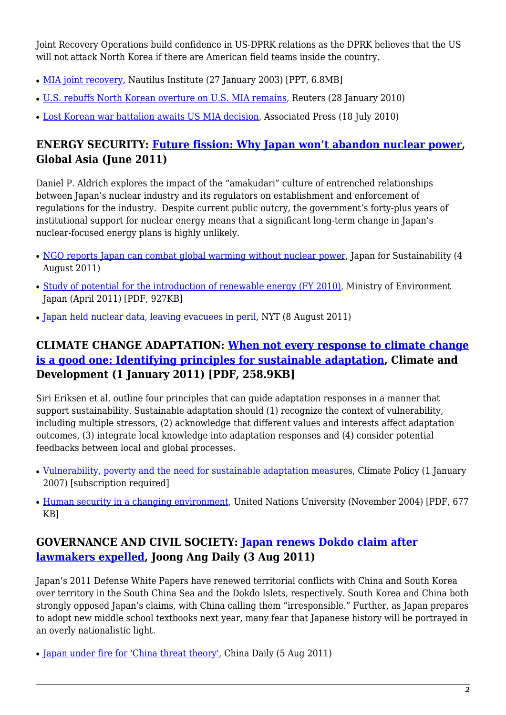Joint Recovery Operations build confidence in US-DPRK relations as the DPRK believes that the US will not attack North Korea if there are American field teams inside the country.

- [MIA joint recovery,](https://nautilus.org/wp-content/uploads/2011/12/Ormes.ppt) Nautilus Institute (27 January 2003) [PPT, 6.8MB]
- [U.S. rebuffs North Korean overture on U.S. MIA remains](http://www.reuters.com/article/2010/01/28/us-korea-north-remains-idUSTRE60R7B620100128), Reuters (28 January 2010)
- [Lost Korean war battalion awaits US MIA decision,](http://www.boston.com/news/world/asia/articles/2010/07/18/lost_korean_war_battalion_awaits_us_mia_decision/) Associated Press (18 July 2010)

### <span id="page-1-0"></span>**ENERGY SECURITY: [Future fission: Why Japan won't abandon nuclear power](http://www.globalasia.org/V6N2_Summer_2011/Daniel_P_Aldrich.html), Global Asia (June 2011)**

Daniel P. Aldrich explores the impact of the "amakudari" culture of entrenched relationships between Japan's nuclear industry and its regulators on establishment and enforcement of regulations for the industry. Despite current public outcry, the government's forty-plus years of institutional support for nuclear energy means that a significant long-term change in Japan's nuclear-focused energy plans is highly unlikely.

- [NGO reports Japan can combat global warming without nuclear power,](http://www.japanfs.org/en/pages/031137.html) Japan for Sustainability (4 August 2011)
- [Study of potential for the introduction of renewable energy \(FY 2010\)](http://www.env.go.jp/earth/report/h23-03/summary_en.pdf), Ministry of Environment Japan (April 2011) [PDF, 927KB]
- [Japan held nuclear data, leaving evacuees in peril](http://www.nytimes.com/2011/08/09/world/asia/09japan.html?pagewanted=1&_r=1&hp), NYT (8 August 2011)

### <span id="page-1-1"></span>**CLIMATE CHANGE ADAPTATION: [When not every response to climate change](http://www.ingentaconnect.com/content/earthscan/cdev/2011/00000003/00000001/art00002) [is a good one: Identifying principles for sustainable adaptation](http://www.ingentaconnect.com/content/earthscan/cdev/2011/00000003/00000001/art00002), Climate and Development (1 January 2011) [PDF, 258.9KB]**

Siri Eriksen et al. outline four principles that can guide adaptation responses in a manner that support sustainability. Sustainable adaptation should (1) recognize the context of vulnerability, including multiple stressors, (2) acknowledge that different values and interests affect adaptation outcomes, (3) integrate local knowledge into adaptation responses and (4) consider potential feedbacks between local and global processes.

- [Vulnerability, poverty and the need for sustainable adaptation measures,](http://www.ingentaconnect.com/content/earthscan/cpol/2007/00000007/00000004/art00006) Climate Policy (1 January 2007) [subscription required]
- [Human security in a changing environment,](http://www.preventionweb.net/files/8011_humansecurity.pdf) United Nations University (November 2004) [PDF, 677 KB]

## <span id="page-1-2"></span>**GOVERNANCE AND CIVIL SOCIETY: [Japan renews Dokdo claim after](http://joongangdaily.joins.com/article/view.asp?aid=2939737) [lawmakers expelled](http://joongangdaily.joins.com/article/view.asp?aid=2939737), Joong Ang Daily (3 Aug 2011)**

Japan's 2011 Defense White Papers have renewed territorial conflicts with China and South Korea over territory in the South China Sea and the Dokdo Islets, respectively. South Korea and China both strongly opposed Japan's claims, with China calling them "irresponsible." Further, as Japan prepares to adopt new middle school textbooks next year, many fear that Japanese history will be portrayed in an overly nationalistic light.

• [Japan under fire for 'China threat theory',](http://www.chinadaily.com.cn/china/2011-08/05/content_13053774.htm) China Daily (5 Aug 2011)